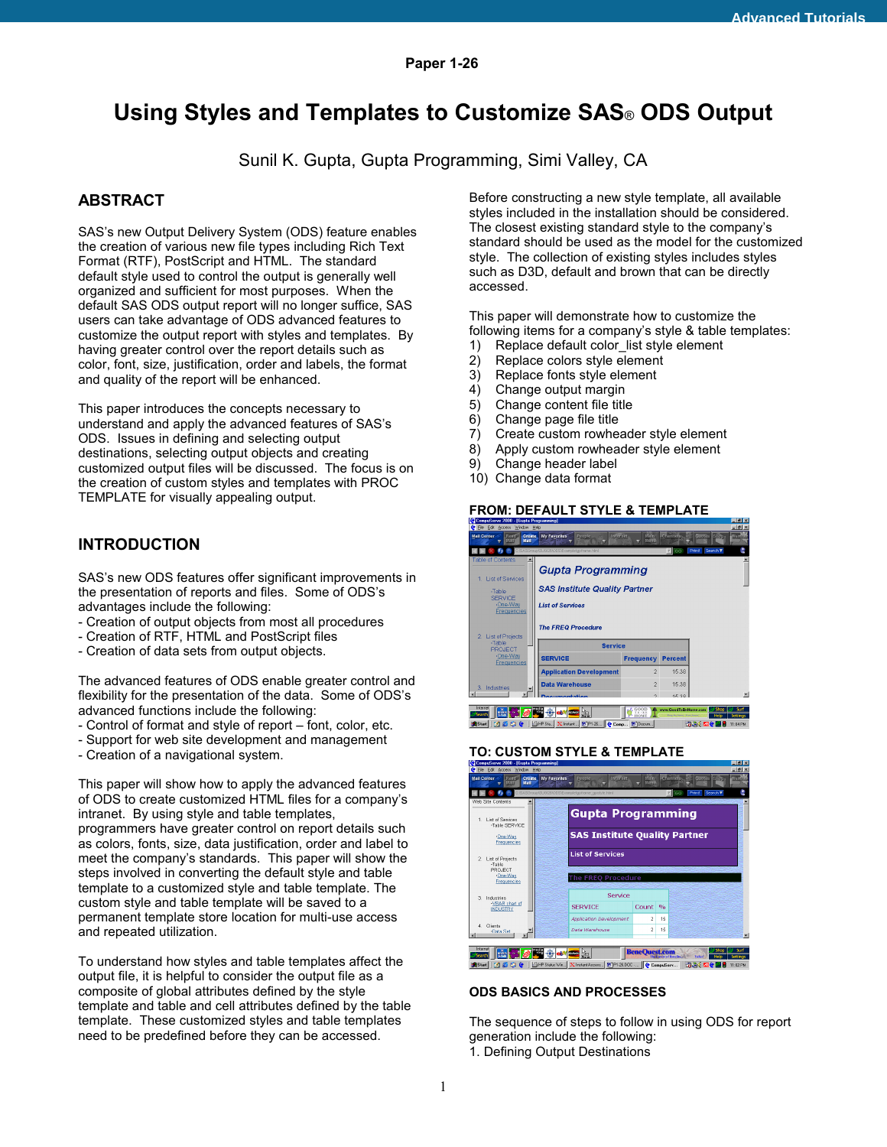# **Using Styles and Templates to Customize SAS**® **ODS Output**

Sunil K. Gupta, Gupta Programming, Simi Valley, CA

# **ABSTRACT**

SAS's new Output Delivery System (ODS) feature enables the creation of various new file types including Rich Text Format (RTF), PostScript and HTML. The standard default style used to control the output is generally well organized and sufficient for most purposes. When the default SAS ODS output report will no longer suffice, SAS users can take advantage of ODS advanced features to customize the output report with styles and templates. By having greater control over the report details such as color, font, size, justification, order and labels, the format and quality of the report will be enhanced.

This paper introduces the concepts necessary to understand and apply the advanced features of SAS's ODS. Issues in defining and selecting output destinations, selecting output objects and creating customized output files will be discussed. The focus is on the creation of custom styles and templates with PROC TEMPLATE for visually appealing output.

# **INTRODUCTION**

SAS's new ODS features offer significant improvements in the presentation of reports and files. Some of ODS's advantages include the following:

- Creation of output objects from most all procedures
- Creation of RTF, HTML and PostScript files
- Creation of data sets from output objects.

The advanced features of ODS enable greater control and flexibility for the presentation of the data. Some of ODS's advanced functions include the following:

- Control of format and style of report – font, color, etc.

- Support for web site development and management
- Creation of a navigational system.

This paper will show how to apply the advanced features of ODS to create customized HTML files for a company's intranet. By using style and table templates, programmers have greater control on report details such as colors, fonts, size, data justification, order and label to meet the company's standards. This paper will show the steps involved in converting the default style and table template to a customized style and table template. The custom style and table template will be saved to a permanent template store location for multi-use access and repeated utilization.

To understand how styles and table templates affect the output file, it is helpful to consider the output file as a composite of global attributes defined by the style template and table and cell attributes defined by the table template. These customized styles and table templates need to be predefined before they can be accessed.

Before constructing a new style template, all available styles included in the installation should be considered. The closest existing standard style to the company's standard should be used as the model for the customized style. The collection of existing styles includes styles such as D3D, default and brown that can be directly accessed.

This paper will demonstrate how to customize the following items for a company's style & table templates:

- 1) Replace default color list style element
- 2) Replace colors style element
- 3) Replace fonts style element
- 4) Change output margin
- 5) Change content file title
- 6) Change page file title
- 7) Create custom rowheader style element
- 8) Apply custom rowheader style element
- 9) Change header label
- 10) Change data format

# **FROM: DEFAULT STYLE & TEMPLATE**



#### **TO: CUSTOM STYLE & TEMPLATE**



#### **ODS BASICS AND PROCESSES**

The sequence of steps to follow in using ODS for report generation include the following: 1. Defining Output Destinations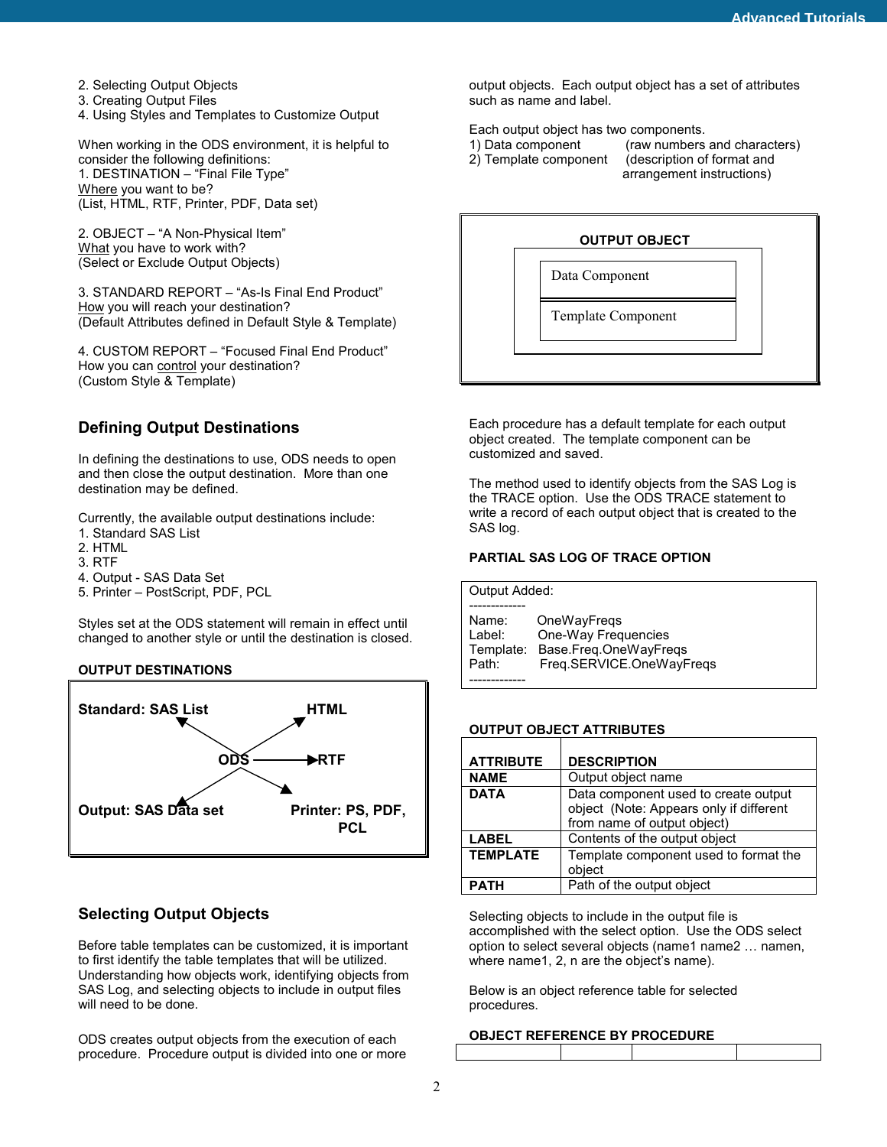- 2. Selecting Output Objects
- 3. Creating Output Files

4. Using Styles and Templates to Customize Output

When working in the ODS environment, it is helpful to consider the following definitions: 1. DESTINATION – "Final File Type" Where you want to be? (List, HTML, RTF, Printer, PDF, Data set)

2. OBJECT – "A Non-Physical Item" What you have to work with? (Select or Exclude Output Objects)

3. STANDARD REPORT – "As-Is Final End Product" How you will reach your destination? (Default Attributes defined in Default Style & Template)

4. CUSTOM REPORT – "Focused Final End Product" How you can **control** your destination? (Custom Style & Template)

# **Defining Output Destinations**

In defining the destinations to use, ODS needs to open and then close the output destination. More than one destination may be defined.

Currently, the available output destinations include:

- 1. Standard SAS List
- 2. HTML
- 3. RTF
- 4. Output SAS Data Set
- 5. Printer PostScript, PDF, PCL

Styles set at the ODS statement will remain in effect until changed to another style or until the destination is closed.

# **OUTPUT DESTINATIONS**



# **Selecting Output Objects**

Before table templates can be customized, it is important to first identify the table templates that will be utilized. Understanding how objects work, identifying objects from SAS Log, and selecting objects to include in output files will need to be done.

ODS creates output objects from the execution of each procedure. Procedure output is divided into one or more output objects. Each output object has a set of attributes such as name and label.

Each output object has two components.

- 
- 

1) Data component (raw numbers and characters) 2) Template component (description of format and arrangement instructions)



Each procedure has a default template for each output object created. The template component can be customized and saved.

The method used to identify objects from the SAS Log is the TRACE option. Use the ODS TRACE statement to write a record of each output object that is created to the SAS log.

# **PARTIAL SAS LOG OF TRACE OPTION**

| Output Added: |                          |
|---------------|--------------------------|
|               |                          |
| Name:         | OneWayFregs              |
| Label:        | One-Way Frequencies      |
| Template:     | Base.Freg.OneWayFregs    |
| Path:         | Freq.SERVICE.OneWayFreqs |
|               |                          |

#### **OUTPUT OBJECT ATTRIBUTES**

| <b>ATTRIBUTE</b> | <b>DESCRIPTION</b>                                                                                             |
|------------------|----------------------------------------------------------------------------------------------------------------|
| <b>NAME</b>      | Output object name                                                                                             |
| <b>DATA</b>      | Data component used to create output<br>object (Note: Appears only if different<br>from name of output object) |
| <b>LABEL</b>     | Contents of the output object                                                                                  |
| <b>TEMPLATE</b>  | Template component used to format the<br>object                                                                |
| <b>PATH</b>      | Path of the output object                                                                                      |

Selecting objects to include in the output file is accomplished with the select option. Use the ODS select option to select several objects (name1 name2 … namen, where name1, 2, n are the object's name).

Below is an object reference table for selected procedures.

#### **OBJECT REFERENCE BY PROCEDURE**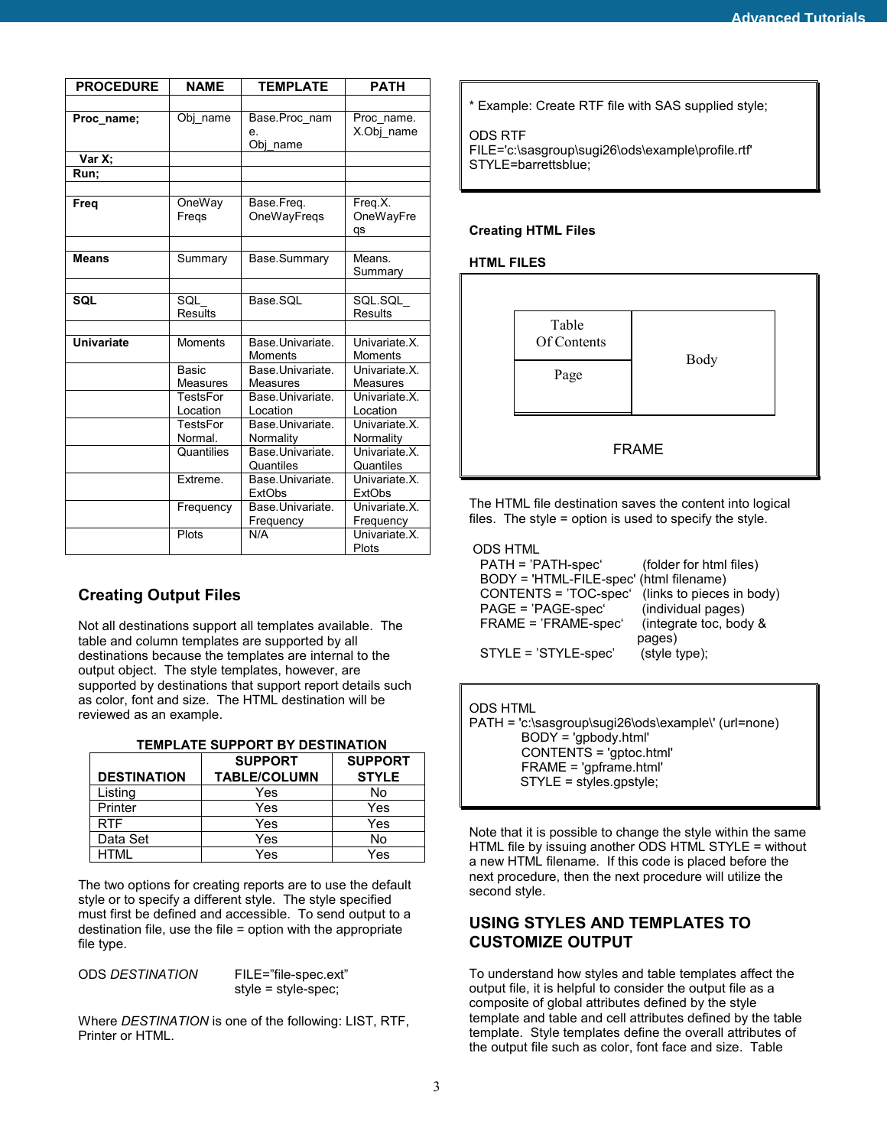| <b>PROCEDURE</b>  | <b>NAME</b>                | <b>TEMPLATE</b>                     | <b>PATH</b>                            |
|-------------------|----------------------------|-------------------------------------|----------------------------------------|
|                   |                            |                                     |                                        |
| Proc name;        | Obj name                   | Base.Proc nam<br>e.<br>Obj_name     | Proc name.<br>X.Obj_name               |
| Var X;            |                            |                                     |                                        |
| Run:              |                            |                                     |                                        |
|                   |                            |                                     |                                        |
| Freq              | OneWay<br>Fregs            | Base.Freq.<br>OneWayFregs           | Freq.X.<br>OneWayFre<br>qs             |
|                   |                            |                                     |                                        |
| <b>Means</b>      | Summary                    | Base.Summary                        | Means.<br>Summary                      |
|                   |                            |                                     |                                        |
| <b>SQL</b>        | SQL<br><b>Results</b>      | Base.SQL                            | SQL.SQL<br><b>Results</b>              |
|                   |                            |                                     |                                        |
| <b>Univariate</b> | <b>Moments</b>             | Base.Univariate.<br>Moments         | Univariate X.<br><b>Moments</b>        |
|                   | Basic<br><b>Measures</b>   | Base.Univariate.<br><b>Measures</b> | Univariate X.<br>Measures              |
|                   | TestsFor<br>Location       | Base.Univariate.<br>Location        | Univariate X.<br>Location              |
|                   | <b>TestsFor</b><br>Normal. | Base.Univariate.<br>Normality       | Univariate X.<br>Normality             |
|                   | Quantilies                 | Base.Univariate.<br>Quantiles       | Univariate X<br>Quantiles              |
|                   | Extreme.                   | Base.Univariate.<br><b>ExtObs</b>   | Univariate X.<br><b>ExtObs</b>         |
|                   | Frequency                  | Base.Univariate.<br>Frequency       | Univariate <sub>.X.</sub><br>Frequency |
|                   | Plots                      | N/A                                 | Univariate <sub>.X.</sub><br>Plots     |

# **Creating Output Files**

Not all destinations support all templates available. The table and column templates are supported by all destinations because the templates are internal to the output object. The style templates, however, are supported by destinations that support report details such as color, font and size. The HTML destination will be reviewed as an example.

| <b>TEMPLATE SUPPORT BY DESTINATION</b> |  |
|----------------------------------------|--|
|----------------------------------------|--|

|                    | <b>SUPPORT</b>      | <b>SUPPORT</b> |
|--------------------|---------------------|----------------|
| <b>DESTINATION</b> | <b>TABLE/COLUMN</b> | <b>STYLE</b>   |
| Listing            | Yes                 | No             |
| Printer            | Yes                 | Yes            |
| <b>RTF</b>         | Yes                 | Yes            |
| Data Set           | Yes                 | No             |
| HTMI               | Yes                 | Yes            |

The two options for creating reports are to use the default style or to specify a different style. The style specified must first be defined and accessible. To send output to a destination file, use the file = option with the appropriate file type.

ODS *DESTINATION* FILE="file-spec.ext"

style = style-spec;

Where *DESTINATION* is one of the following: LIST, RTF, Printer or HTML.

\* Example: Create RTF file with SAS supplied style;

# ODS RTF

FILE='c:\sasgroup\sugi26\ods\example\profile.rtf' STYLE=barrettsblue;

# **Creating HTML Files**

#### **HTML FILES**



The HTML file destination saves the content into logical files. The style = option is used to specify the style.

# ODS HTML

| PATH = 'PATH-spec'                      | (folder for html files)   |
|-----------------------------------------|---------------------------|
| BODY = 'HTML-FILE-spec' (html filename) |                           |
| CONTENTS = 'TOC-spec'                   | (links to pieces in body) |
| PAGE = 'PAGE-spec'                      | (individual pages)        |
| FRAME = 'FRAME-spec'                    | (integrate toc, body &    |
|                                         | pages)                    |
| STYLE = 'STYLE-spec'                    | (style type);             |
|                                         |                           |

#### ODS HTML

PATH = 'c:\sasgroup\sugi26\ods\example\' (url=none) BODY = 'gpbody.html' CONTENTS = 'gptoc.html' FRAME = 'gpframe.html' STYLE = styles.gpstyle;

Note that it is possible to change the style within the same HTML file by issuing another ODS HTML STYLE = without a new HTML filename. If this code is placed before the next procedure, then the next procedure will utilize the second style.

# **USING STYLES AND TEMPLATES TO CUSTOMIZE OUTPUT**

To understand how styles and table templates affect the output file, it is helpful to consider the output file as a composite of global attributes defined by the style template and table and cell attributes defined by the table template. Style templates define the overall attributes of the output file such as color, font face and size. Table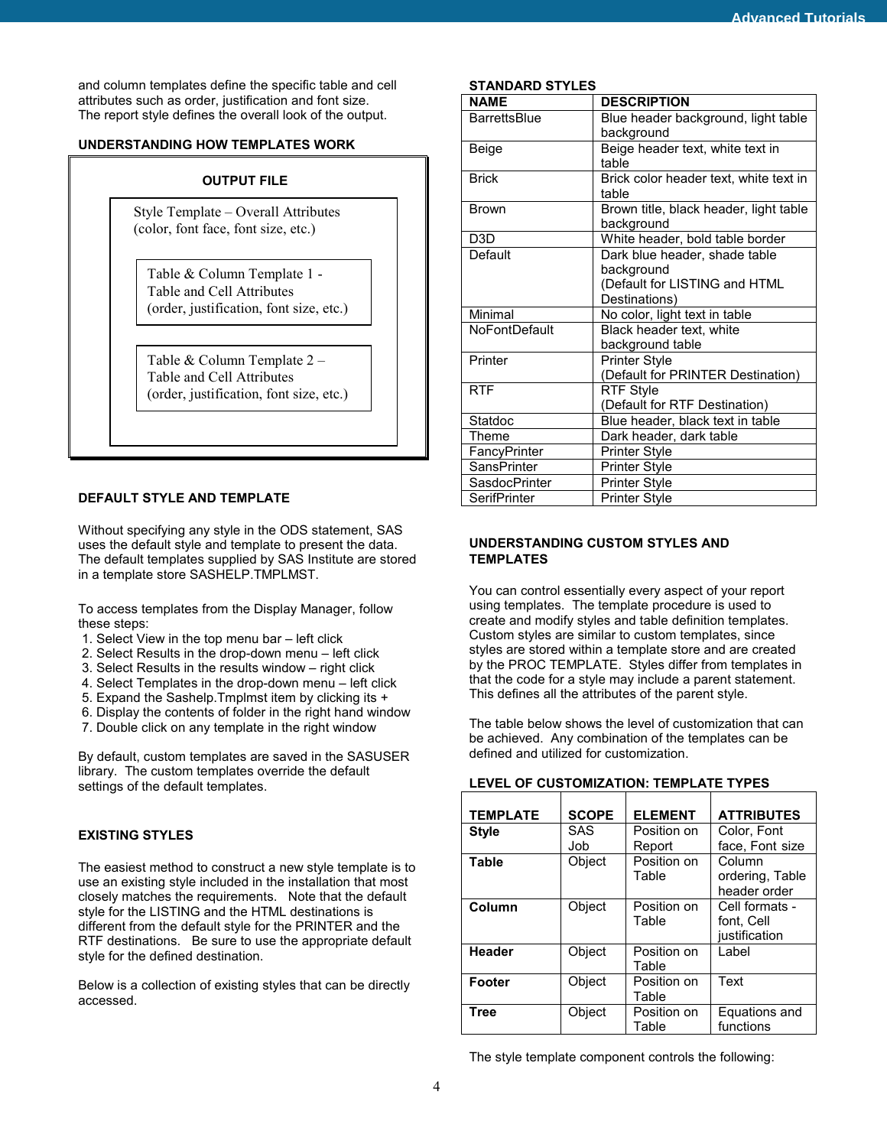and column templates define the specific table and cell attributes such as order, justification and font size. The report style defines the overall look of the output.

# **UNDERSTANDING HOW TEMPLATES WORK**

# **OUTPUT FILE**

Style Template – Overall Attributes (color, font face, font size, etc.)

Table & Column Template 1 - Table and Cell Attributes (order, justification, font size, etc.)

Table & Column Template 2 – Table and Cell Attributes (order, justification, font size, etc.)

#### **DEFAULT STYLE AND TEMPLATE**

Without specifying any style in the ODS statement, SAS uses the default style and template to present the data. The default templates supplied by SAS Institute are stored in a template store SASHELP.TMPLMST.

To access templates from the Display Manager, follow these steps:

- 1. Select View in the top menu bar left click
- 2. Select Results in the drop-down menu left click
- 3. Select Results in the results window right click
- 4. Select Templates in the drop-down menu left click
- 5. Expand the Sashelp.Tmplmst item by clicking its +
- 6. Display the contents of folder in the right hand window
- 7. Double click on any template in the right window

By default, custom templates are saved in the SASUSER library. The custom templates override the default settings of the default templates.

# **EXISTING STYLES**

The easiest method to construct a new style template is to use an existing style included in the installation that most closely matches the requirements. Note that the default style for the LISTING and the HTML destinations is different from the default style for the PRINTER and the RTF destinations. Be sure to use the appropriate default style for the defined destination.

Below is a collection of existing styles that can be directly accessed.

#### **STANDARD STYLES**

| <b>NAME</b>          | <b>DESCRIPTION</b>                     |
|----------------------|----------------------------------------|
| <b>BarrettsBlue</b>  | Blue header background, light table    |
|                      | background                             |
| Beige                | Beige header text, white text in       |
|                      | table                                  |
| <b>Brick</b>         | Brick color header text, white text in |
|                      | table                                  |
| <b>Brown</b>         | Brown title, black header, light table |
|                      | background                             |
| D <sub>3</sub> D     | White header, bold table border        |
| Default              | Dark blue header, shade table          |
|                      | background                             |
|                      | (Default for LISTING and HTML          |
|                      | Destinations)                          |
| Minimal              | No color, light text in table          |
| <b>NoFontDefault</b> | Black header text, white               |
|                      | background table                       |
| Printer              | <b>Printer Style</b>                   |
|                      | (Default for PRINTER Destination)      |
| <b>RTF</b>           | <b>RTF Style</b>                       |
|                      | (Default for RTF Destination)          |
| Statdoc              | Blue header, black text in table       |
| Theme                | Dark header, dark table                |
| FancyPrinter         | Printer Style                          |
| SansPrinter          | Printer Style                          |
| SasdocPrinter        | <b>Printer Style</b>                   |
| SerifPrinter         | <b>Printer Style</b>                   |

# **UNDERSTANDING CUSTOM STYLES AND TEMPLATES**

You can control essentially every aspect of your report using templates. The template procedure is used to create and modify styles and table definition templates. Custom styles are similar to custom templates, since styles are stored within a template store and are created by the PROC TEMPLATE. Styles differ from templates in that the code for a style may include a parent statement. This defines all the attributes of the parent style.

The table below shows the level of customization that can be achieved. Any combination of the templates can be defined and utilized for customization.

| <b>TEMPLATE</b> | <b>SCOPE</b> | <b>ELEMENT</b>        | <b>ATTRIBUTES</b>                             |
|-----------------|--------------|-----------------------|-----------------------------------------------|
| <b>Style</b>    | SAS<br>Job   | Position on<br>Report | Color, Font<br>face, Font size                |
| <b>Table</b>    | Object       | Position on<br>Table  | Column<br>ordering, Table<br>header order     |
| Column          | Object       | Position on<br>Table  | Cell formats -<br>font, Cell<br>justification |
| <b>Header</b>   | Object       | Position on<br>Table  | Label                                         |
| Footer          | Object       | Position on<br>Table  | Text                                          |
| <b>Tree</b>     | Object       | Position on<br>Table  | Equations and<br>functions                    |

#### **LEVEL OF CUSTOMIZATION: TEMPLATE TYPES**

The style template component controls the following: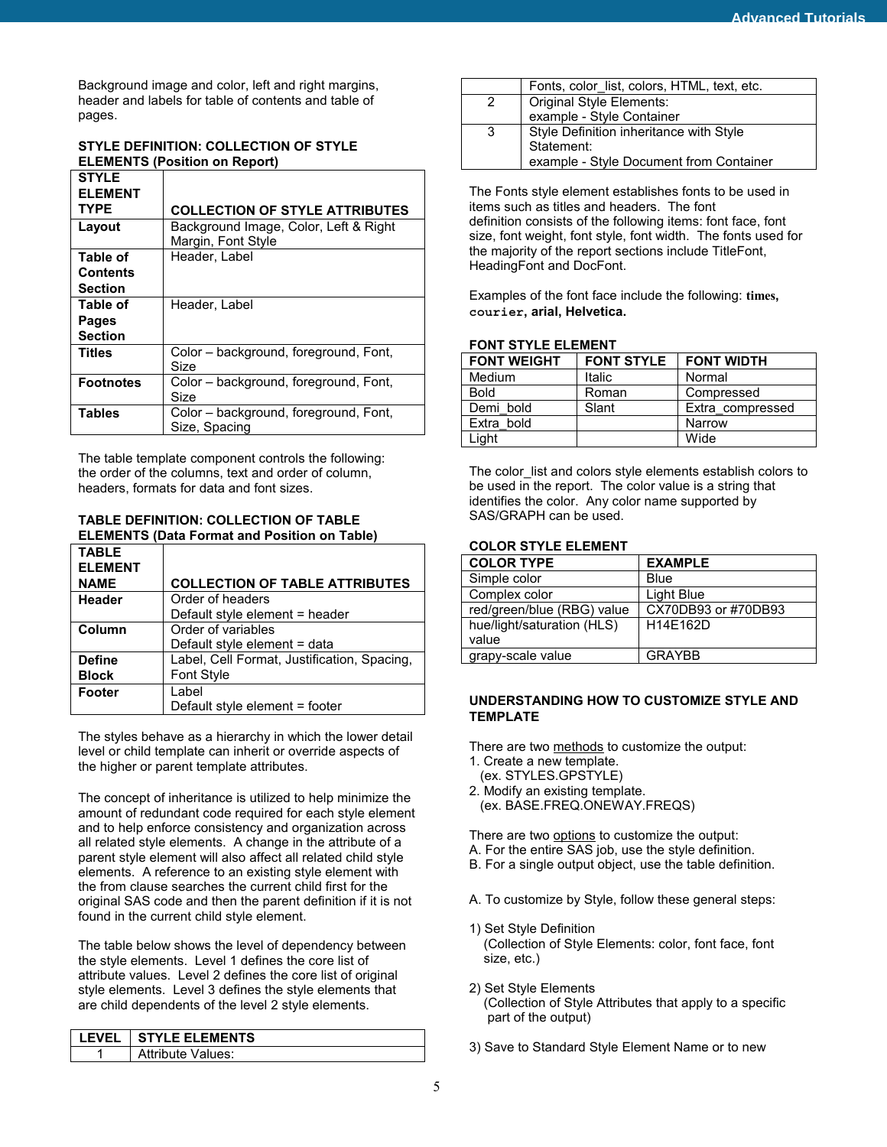Background image and color, left and right margins, header and labels for table of contents and table of pages.

# **STYLE DEFINITION: COLLECTION OF STYLE ELEMENTS (Position on Report)**

| <b>STYLE</b><br><b>ELEMENT</b> |                                                             |
|--------------------------------|-------------------------------------------------------------|
| <b>TYPE</b>                    | <b>COLLECTION OF STYLE ATTRIBUTES</b>                       |
| Layout                         | Background Image, Color, Left & Right<br>Margin, Font Style |
| Table of                       | Header, Label                                               |
| <b>Contents</b>                |                                                             |
| <b>Section</b>                 |                                                             |
| Table of                       | Header, Label                                               |
| Pages                          |                                                             |
| <b>Section</b>                 |                                                             |
| Titles                         | Color - background, foreground, Font,<br>Size               |
| <b>Footnotes</b>               | Color - background, foreground, Font,<br>Size               |
| <b>Tables</b>                  | Color - background, foreground, Font,<br>Size, Spacing      |

The table template component controls the following: the order of the columns, text and order of column, headers, formats for data and font sizes.

**TABLE DEFINITION: COLLECTION OF TABLE ELEMENTS (Data Format and Position on Table)** 

| <b>TABLE</b>   |                                             |
|----------------|---------------------------------------------|
| <b>ELEMENT</b> |                                             |
| <b>NAME</b>    | <b>COLLECTION OF TABLE ATTRIBUTES</b>       |
| Header         | Order of headers                            |
|                | Default style element = header              |
| Column         | Order of variables                          |
|                | Default style element = data                |
| <b>Define</b>  | Label, Cell Format, Justification, Spacing, |
| <b>Block</b>   | <b>Font Style</b>                           |
| Footer         | Label                                       |
|                | Default style element = footer              |

The styles behave as a hierarchy in which the lower detail level or child template can inherit or override aspects of the higher or parent template attributes.

The concept of inheritance is utilized to help minimize the amount of redundant code required for each style element and to help enforce consistency and organization across all related style elements. A change in the attribute of a parent style element will also affect all related child style elements. A reference to an existing style element with the from clause searches the current child first for the original SAS code and then the parent definition if it is not found in the current child style element.

The table below shows the level of dependency between the style elements. Level 1 defines the core list of attribute values. Level 2 defines the core list of original style elements. Level 3 defines the style elements that are child dependents of the level 2 style elements.

| Attribute Values: |
|-------------------|

|   | Fonts, color list, colors, HTML, text, etc. |  |
|---|---------------------------------------------|--|
| 2 | Original Style Elements:                    |  |
|   | example - Style Container                   |  |
| 3 | Style Definition inheritance with Style     |  |
|   | Statement:                                  |  |
|   | example - Style Document from Container     |  |

The Fonts style element establishes fonts to be used in items such as titles and headers. The font definition consists of the following items: font face, font size, font weight, font style, font width. The fonts used for the majority of the report sections include TitleFont, HeadingFont and DocFont.

Examples of the font face include the following: **times, courier, arial, Helvetica.**

# **FONT STYLE ELEMENT**

| <b>FONT WEIGHT</b> | <b>FONT STYLE</b> | <b>FONT WIDTH</b> |
|--------------------|-------------------|-------------------|
| Medium             | <b>Italic</b>     | Normal            |
| <b>Bold</b>        | Roman             | Compressed        |
| Demi bold          | Slant             | Extra compressed  |
| Extra bold         |                   | Narrow            |
| Liaht.             |                   | Wide              |

The color\_list and colors style elements establish colors to be used in the report. The color value is a string that identifies the color. Any color name supported by SAS/GRAPH can be used.

# **COLOR STYLE ELEMENT**

| <b>COLOR TYPE</b>          | <b>EXAMPLE</b>      |
|----------------------------|---------------------|
| Simple color               | Blue                |
| Complex color              | Light Blue          |
| red/green/blue (RBG) value | CX70DB93 or #70DB93 |
| hue/light/saturation (HLS) | H14E162D            |
| value                      |                     |
| grapy-scale value          | <b>GRAYBB</b>       |

#### **UNDERSTANDING HOW TO CUSTOMIZE STYLE AND TEMPLATE**

There are two methods to customize the output:

- 1. Create a new template.
- (ex. STYLES.GPSTYLE)
- 2. Modify an existing template. (ex. BASE.FREQ.ONEWAY.FREQS)

There are two options to customize the output:

- A. For the entire SAS job, use the style definition.
- B. For a single output object, use the table definition.
- A. To customize by Style, follow these general steps:
- 1) Set Style Definition (Collection of Style Elements: color, font face, font size, etc.)
- 2) Set Style Elements (Collection of Style Attributes that apply to a specific part of the output)
- 3) Save to Standard Style Element Name or to new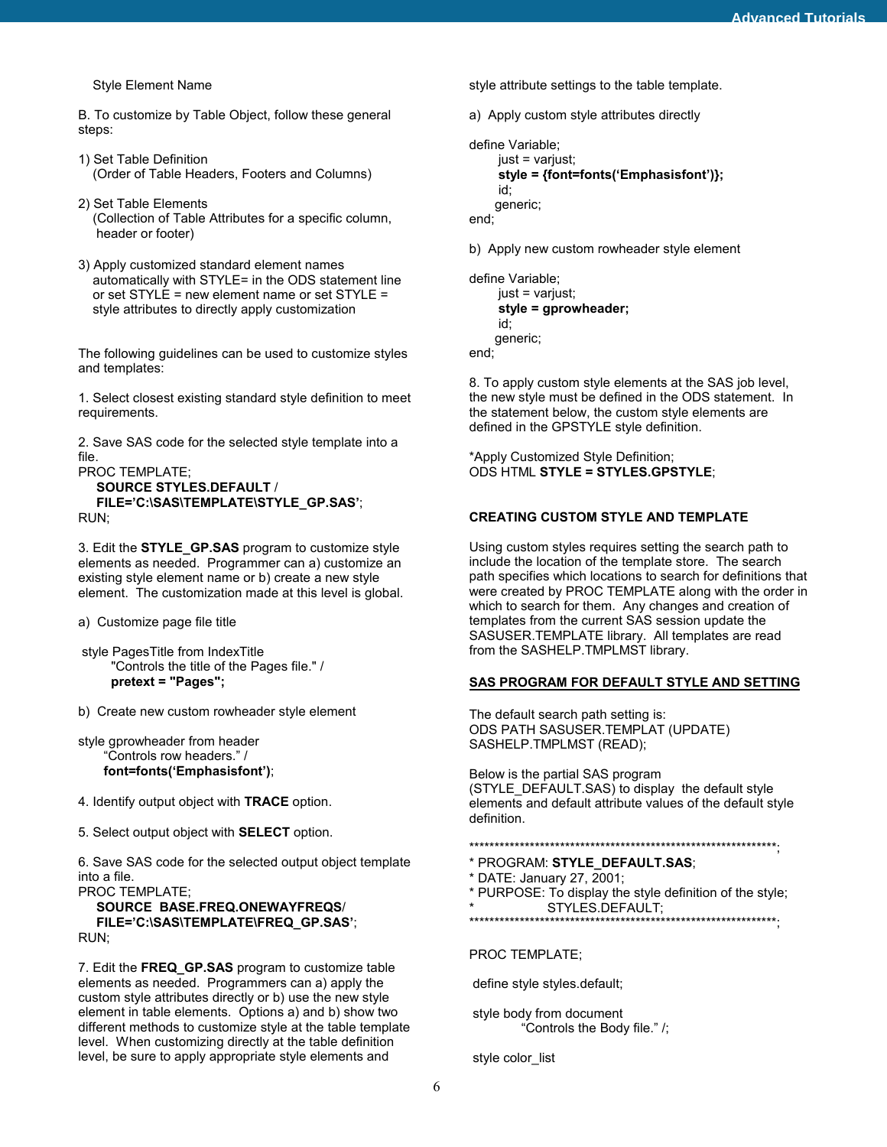Style Element Name

B. To customize by Table Object, follow these general steps:

- 1) Set Table Definition (Order of Table Headers, Footers and Columns)
- 2) Set Table Elements (Collection of Table Attributes for a specific column, header or footer)
- 3) Apply customized standard element names automatically with STYLE= in the ODS statement line or set STYLE = new element name or set STYLE = style attributes to directly apply customization

The following guidelines can be used to customize styles and templates:

1. Select closest existing standard style definition to meet requirements.

2. Save SAS code for the selected style template into a file.

```
PROC TEMPLATE; 
   SOURCE STYLES.DEFAULT / 
   FILE='C:\SAS\TEMPLATE\STYLE_GP.SAS'; 
RUN;
```
3. Edit the **STYLE\_GP.SAS** program to customize style elements as needed. Programmer can a) customize an existing style element name or b) create a new style element. The customization made at this level is global.

a) Customize page file title

- style PagesTitle from IndexTitle "Controls the title of the Pages file." / **pretext = "Pages";**
- b) Create new custom rowheader style element

```
style gprowheader from header 
     "Controls row headers." / 
     font=fonts('Emphasisfont');
```
4. Identify output object with **TRACE** option.

5. Select output object with **SELECT** option.

6. Save SAS code for the selected output object template into a file.

PROC TEMPLATE; **SOURCE BASE.FREQ.ONEWAYFREQS**/  **FILE='C:\SAS\TEMPLATE\FREQ\_GP.SAS'**; RUN;

7. Edit the **FREQ\_GP.SAS** program to customize table elements as needed. Programmers can a) apply the custom style attributes directly or b) use the new style element in table elements. Options a) and b) show two different methods to customize style at the table template level. When customizing directly at the table definition level, be sure to apply appropriate style elements and

style attribute settings to the table template.

a) Apply custom style attributes directly

```
define Variable; 
      just = varjust; 
      style = {font=fonts('Emphasisfont')}; 
      id; 
      generic; 
end;
```
b) Apply new custom rowheader style element

```
define Variable; 
      just = varjust; 
      style = gprowheader; 
      id; 
      generic; 
end;
```
8. To apply custom style elements at the SAS job level, the new style must be defined in the ODS statement. In the statement below, the custom style elements are defined in the GPSTYLE style definition.

\*Apply Customized Style Definition; ODS HTML **STYLE = STYLES.GPSTYLE**;

# **CREATING CUSTOM STYLE AND TEMPLATE**

Using custom styles requires setting the search path to include the location of the template store. The search path specifies which locations to search for definitions that were created by PROC TEMPLATE along with the order in which to search for them. Any changes and creation of templates from the current SAS session update the SASUSER.TEMPLATE library. All templates are read from the SASHELP.TMPLMST library.

#### **SAS PROGRAM FOR DEFAULT STYLE AND SETTING**

The default search path setting is: ODS PATH SASUSER.TEMPLAT (UPDATE) SASHELP.TMPLMST (READ);

Below is the partial SAS program (STYLE\_DEFAULT.SAS) to display the default style elements and default attribute values of the default style definition.

```
*************************************************************;
```

```
* PROGRAM: STYLE_DEFAULT.SAS;
```

```
* DATE: January 27, 2001;
```
\* PURPOSE: To display the style definition of the style;<br>\* ETVLES BEFALU THE STYLES.DEFAULT;

```
*************************************************************;
```
PROC TEMPLATE;

define style styles.default;

 style body from document "Controls the Body file." /;

style color\_list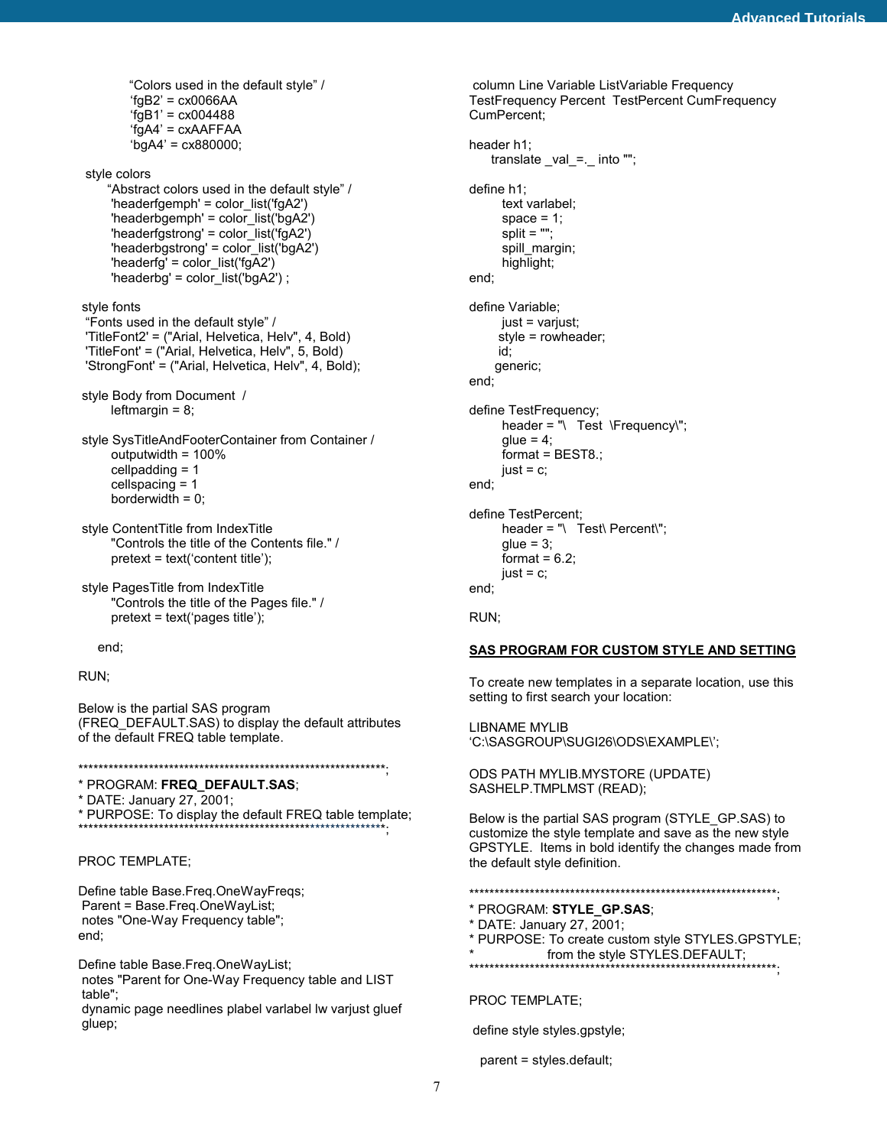```
 "Colors used in the default style" / 
'fqB2' = cx0066AA'fgB1' = cx004488'fgA4' = cxAAFFAA 
'bgA4' = cx880000;
```
style colors

 "Abstract colors used in the default style" / 'headerfgemph' = color\_list('fgA2') 'headerbgemph' = color\_list('bgA2') 'headerfgstrong' = color\_list('fgA2') 'headerbgstrong' = color\_list('bgA2') 'headerfg' = color\_list('fgA2') 'headerbg' = color\_list('bgA2') ;

 style fonts "Fonts used in the default style" / 'TitleFont2' = ("Arial, Helvetica, Helv", 4, Bold) 'TitleFont' = ("Arial, Helvetica, Helv", 5, Bold) 'StrongFont' = ("Arial, Helvetica, Helv", 4, Bold);

```
 style Body from Document / 
      leftmargin = 8;
```
 style SysTitleAndFooterContainer from Container / outputwidth = 100% cellpadding = 1 cellspacing = 1 borderwidth  $= 0$ ;

 style ContentTitle from IndexTitle "Controls the title of the Contents file." / pretext = text('content title');

 style PagesTitle from IndexTitle "Controls the title of the Pages file." / pretext = text('pages title');

end;

RUN;

Below is the partial SAS program (FREQ\_DEFAULT.SAS) to display the default attributes of the default FREQ table template.

\*\*\*\*\*\*\*\*\*\*\*\*\*\*\*\*\*\*\*\*\*\*\*\*\*\*\*\*\*\*\*\*\*\*\*\*\*\*\*\*\*\*\*\*\*\*\*\*\*\*\*\*\*\*\*\*\*\*\*\*\*;

\* PROGRAM: **FREQ\_DEFAULT.SAS**;

\* DATE: January 27, 2001;

\* PURPOSE: To display the default FREQ table template; \*\*\*\*\*\*\*\*\*\*\*\*\*\*\*\*\*\*\*\*\*\*\*\*\*\*\*\*\*\*\*\*\*\*\*\*\*\*\*\*\*\*\*\*\*\*\*\*\*\*\*\*\*\*\*\*\*\*\*\*\*;

PROC TEMPLATE;

Define table Base.Freq.OneWayFreqs; Parent = Base.Freq.OneWayList; notes "One-Way Frequency table"; end;

Define table Base.Freq.OneWayList; notes "Parent for One-Way Frequency table and LIST table";

 dynamic page needlines plabel varlabel lw varjust gluef gluep;

 column Line Variable ListVariable Frequency TestFrequency Percent TestPercent CumFrequency CumPercent; header h1; translate \_val\_=.\_ into ""; define h1; text varlabel; space  $= 1$ :  $split = "":$ spill\_margin; highlight; end; define Variable; just = varjust; style = rowheader; id; generic; end; define TestFrequency; header = "\ Test \Frequency\";  $glue = 4$ ; format = BEST8.;  $just = c;$ end; define TestPercent; header = "\ Test\ Percent\";  $glue = 3;$ format =  $6.2$ ;  $just = c$ ; end;

RUN;

#### **SAS PROGRAM FOR CUSTOM STYLE AND SETTING**

To create new templates in a separate location, use this setting to first search your location:

LIBNAME MYLIB 'C:\SASGROUP\SUGI26\ODS\EXAMPLE\';

ODS PATH MYLIB.MYSTORE (UPDATE) SASHELP.TMPLMST (READ);

Below is the partial SAS program (STYLE\_GP.SAS) to customize the style template and save as the new style GPSTYLE. Items in bold identify the changes made from the default style definition.

\*\*\*\*\*\*\*\*\*\*\*\*\*\*\*\*\*\*\*\*\*\*\*\*\*\*\*\*\*\*\*\*\*\*\*\*\*\*\*\*\*\*\*\*\*\*\*\*\*\*\*\*\*\*\*\*\*\*\*\*\*;

- \* PROGRAM: **STYLE\_GP.SAS**;
- \* DATE: January 27, 2001;
- \* PURPOSE: To create custom style STYLES.GPSTYLE;
- from the style STYLES.DEFAULT;
- \*\*\*\*\*\*\*\*\*\*\*\*\*\*\*\*\*\*\*\*\*\*\*\*\*\*\*\*\*\*\*\*\*\*\*\*\*\*\*\*\*\*\*\*\*\*\*\*\*\*\*\*\*\*\*\*\*\*\*\*\*;

PROC TEMPLATE;

define style styles.gpstyle;

parent = styles.default;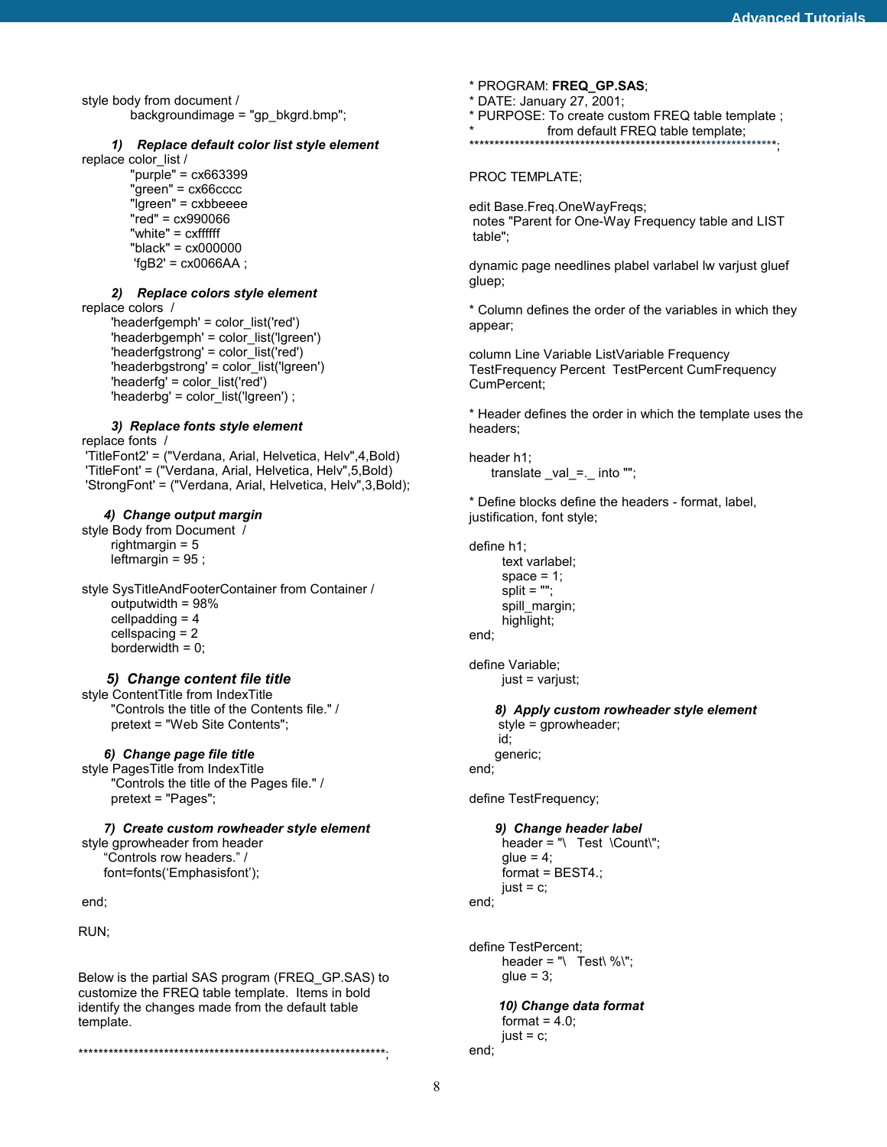style body from document / backgroundimage = "gp\_bkgrd.bmp";

#### *1) Replace default color list style element*

replace color\_list / "purple" = cx663399 "green" = cx66cccc "lgreen" = cxbbeeee "red" = cx990066 "white" = cxffffff "black" = cx000000  $'fgB2' = cx0066AA$ ;

#### *2) Replace colors style element*

 replace colors / 'headerfgemph' = color\_list('red') 'headerbgemph' = color\_list('lgreen') 'headerfgstrong' = color\_list('red') 'headerbgstrong' = color\_list('lgreen') 'headerfg' = color\_list('red') 'headerbg' =  $color$  list('lgreen') ;

# *3) Replace fonts style element*

 replace fonts / 'TitleFont2' = ("Verdana, Arial, Helvetica, Helv",4,Bold) 'TitleFont' = ("Verdana, Arial, Helvetica, Helv",5,Bold) 'StrongFont' = ("Verdana, Arial, Helvetica, Helv",3,Bold);

#### *4) Change output margin*

 style Body from Document / rightmargin = 5 leftmargin =  $95$ ;

 style SysTitleAndFooterContainer from Container / outputwidth = 98% cellpadding = 4 cellspacing = 2 borderwidth  $= 0$ ;

#### *5) Change content file title*

 style ContentTitle from IndexTitle "Controls the title of the Contents file." / pretext = "Web Site Contents";

#### *6) Change page file title*

 style PagesTitle from IndexTitle "Controls the title of the Pages file." / pretext = "Pages";

 *7) Create custom rowheader style element* style gprowheader from header "Controls row headers." / font=fonts('Emphasisfont');

end;

RUN;

Below is the partial SAS program (FREQ\_GP.SAS) to customize the FREQ table template. Items in bold identify the changes made from the default table template.

\*\*\*\*\*\*\*\*\*\*\*\*\*\*\*\*\*\*\*\*\*\*\*\*\*\*\*\*\*\*\*\*\*\*\*\*\*\*\*\*\*\*\*\*\*\*\*\*\*\*\*\*\*\*\*\*\*\*\*\*\*;

- \* PROGRAM: **FREQ\_GP.SAS**;
- \* DATE: January 27, 2001;
- \* PURPOSE: To create custom FREQ table template ;
- \* from default FREQ table template;

\*\*\*\*\*\*\*\*\*\*\*\*\*\*\*\*\*\*\*\*\*\*\*\*\*\*\*\*\*\*\*\*\*\*\*\*\*\*\*\*\*\*\*\*\*\*\*\*\*\*\*\*\*\*\*\*\*\*\*\*\*;

#### PROC TEMPLATE;

edit Base.Freq.OneWayFreqs; notes "Parent for One-Way Frequency table and LIST table";

dynamic page needlines plabel varlabel lw varjust gluef gluep;

\* Column defines the order of the variables in which they appear;

column Line Variable ListVariable Frequency TestFrequency Percent TestPercent CumFrequency CumPercent;

\* Header defines the order in which the template uses the headers;

header h1; translate \_val\_=.\_ into "";

\* Define blocks define the headers - format, label, justification, font style;

define h1; text varlabel; space  $= 1$ ; split = ""; spill\_margin; highlight; end;

define Variable; just = varjust;

 *8) Apply custom rowheader style element* style = gprowheader; id; generic; end;

define TestFrequency;

```
 9) Change header label 
      header = "\ Test \Count\"; 
     glue = 4;format = BEST4.;
     iust = c;
end;
```
define TestPercent; header = "\ Test\ %\";  $glue = 3;$ 

 *10) Change data format* format =  $4.0$ ;  $just = c$ ; end;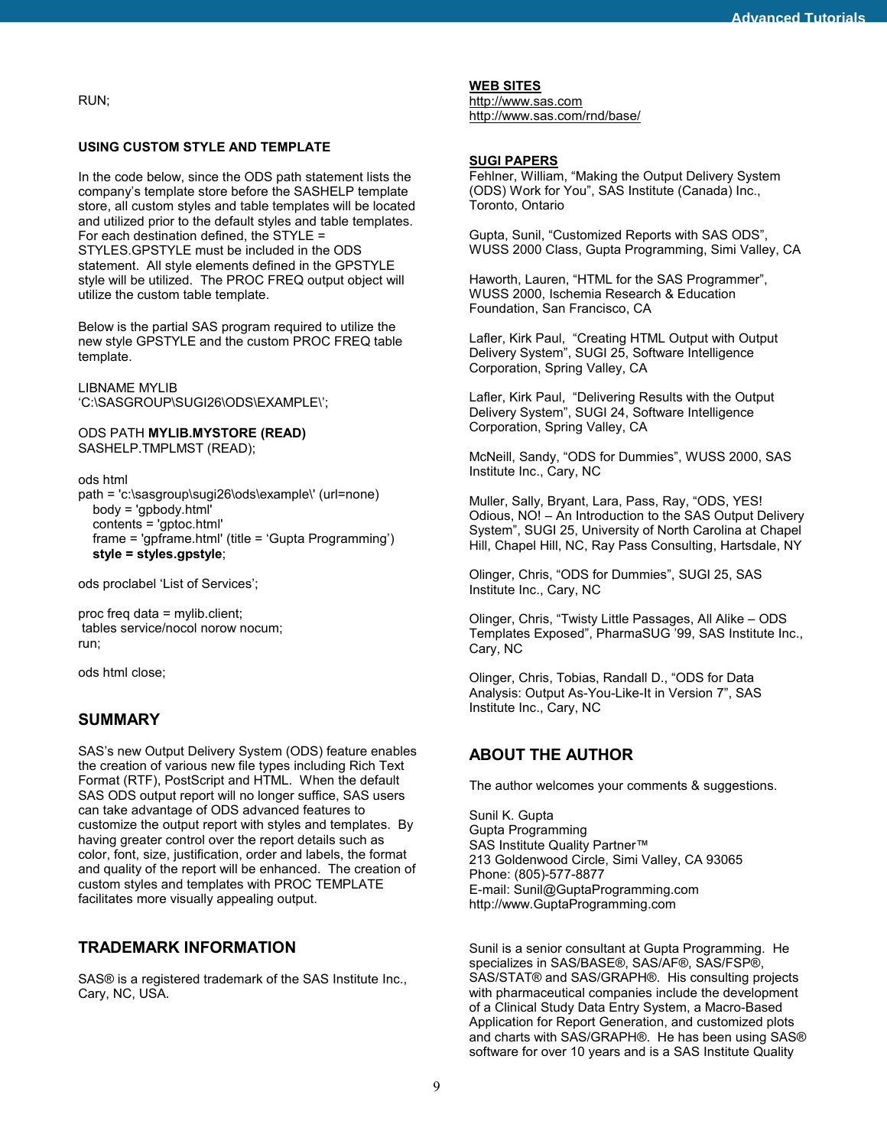RUN;

#### **USING CUSTOM STYLE AND TEMPLATE**

In the code below, since the ODS path statement lists the company's template store before the SASHELP template store, all custom styles and table templates will be located and utilized prior to the default styles and table templates. For each destination defined, the STYLE = STYLES.GPSTYLE must be included in the ODS statement. All style elements defined in the GPSTYLE style will be utilized. The PROC FREQ output object will utilize the custom table template.

Below is the partial SAS program required to utilize the new style GPSTYLE and the custom PROC FREQ table template.

LIBNAME MYLIB 'C:\SASGROUP\SUGI26\ODS\EXAMPLE\';

ODS PATH **MYLIB.MYSTORE (READ)** SASHELP.TMPLMST (READ);

ods html path = 'c:\sasgroup\sugi26\ods\example\' (url=none) body = 'gpbody.html' contents = 'gptoc.html' frame = 'gpframe.html' (title = 'Gupta Programming') **style = styles.gpstyle**;

ods proclabel 'List of Services';

proc freq data = mylib.client; tables service/nocol norow nocum; run;

ods html close;

# **SUMMARY**

SAS's new Output Delivery System (ODS) feature enables the creation of various new file types including Rich Text Format (RTF), PostScript and HTML. When the default SAS ODS output report will no longer suffice, SAS users can take advantage of ODS advanced features to customize the output report with styles and templates. By having greater control over the report details such as color, font, size, justification, order and labels, the format and quality of the report will be enhanced. The creation of custom styles and templates with PROC TEMPLATE facilitates more visually appealing output.

# **TRADEMARK INFORMATION**

SAS® is a registered trademark of the SAS Institute Inc., Cary, NC, USA.

#### **WEB SITES**

http://www.sas.com http://www.sas.com/rnd/base/

#### **SUGI PAPERS**

Fehlner, William, "Making the Output Delivery System (ODS) Work for You", SAS Institute (Canada) Inc., Toronto, Ontario

Gupta, Sunil, "Customized Reports with SAS ODS", WUSS 2000 Class, Gupta Programming, Simi Valley, CA

Haworth, Lauren, "HTML for the SAS Programmer", WUSS 2000, Ischemia Research & Education Foundation, San Francisco, CA

Lafler, Kirk Paul, "Creating HTML Output with Output Delivery System", SUGI 25, Software Intelligence Corporation, Spring Valley, CA

Lafler, Kirk Paul, "Delivering Results with the Output Delivery System", SUGI 24, Software Intelligence Corporation, Spring Valley, CA

McNeill, Sandy, "ODS for Dummies", WUSS 2000, SAS Institute Inc., Cary, NC

Muller, Sally, Bryant, Lara, Pass, Ray, "ODS, YES! Odious, NO! – An Introduction to the SAS Output Delivery System", SUGI 25, University of North Carolina at Chapel Hill, Chapel Hill, NC, Ray Pass Consulting, Hartsdale, NY

Olinger, Chris, "ODS for Dummies", SUGI 25, SAS Institute Inc., Cary, NC

Olinger, Chris, "Twisty Little Passages, All Alike – ODS Templates Exposed", PharmaSUG '99, SAS Institute Inc., Cary, NC

Olinger, Chris, Tobias, Randall D., "ODS for Data Analysis: Output As-You-Like-It in Version 7", SAS Institute Inc., Cary, NC

# **ABOUT THE AUTHOR**

The author welcomes your comments & suggestions.

Sunil K. Gupta Gupta Programming SAS Institute Quality Partner™ 213 Goldenwood Circle, Simi Valley, CA 93065 Phone: (805)-577-8877 E-mail: Sunil@GuptaProgramming.com http://www.GuptaProgramming.com

Sunil is a senior consultant at Gupta Programming. He specializes in SAS/BASE®, SAS/AF®, SAS/FSP®, SAS/STAT® and SAS/GRAPH®. His consulting projects with pharmaceutical companies include the development of a Clinical Study Data Entry System, a Macro-Based Application for Report Generation, and customized plots and charts with SAS/GRAPH®. He has been using SAS® software for over 10 years and is a SAS Institute Quality